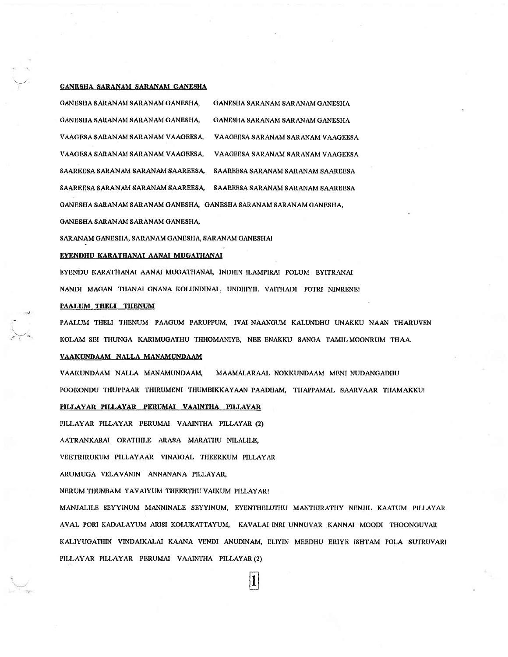#### GANESHA SARANAM SARANAM GANESHA

GANESHA SARANAM SARANAM GANESHA, GANESHA SARANAM SARANAM GANESHA GANESHA SARANAM SARANAM GANESHA, GANESHA SARANAM SARANAM GANESHA VAAGESA SARANAM SARANAM VAAGEESA, VAAGEESA SARANAM SARANAM VAAGEESA VAAGEESA SARANAM SARANAM VAAGEESA VAAGESA SARANAM SARANAM VAAGEESA, SAAREESA SARANAM SARANAM SAAREESA, SAAREESA SARANAM SARANAM SAAREESA SAAREESA SARANAM SARANAM SAAREESA, SAAREESA SARANAM SARANAM SAAREESA GANESHA SARANAM SARANAM GANESHA, GANESHA SARANAM SARANAM GANESHA,

GANESHA SARANAM SARANAM GANESHA,

SARANAM GANESHA, SARANAM GANESHA, SARANAM GANESHA!

#### EYENDHU KARATHANAI AANAI MUGATHANAI

EYENDU KARATHANAI AANAI MUGATHANAI, INDHIN ILAMPIRAI POLUM EYITRANAI NANDI MAGAN THANAI GNANA KOLUNDINAI, UNDHIYIL VAITHADI POTRI NINRENE!

#### **PAALUM THELI THENUM**

PAALUM THELI THENUM PAAGUM PARUPPUM, IVAI NAANGUM KALUNDHU UNAKKU NAAN THARUVEN KOLAM SEI THUNGA KARIMUGATHU THHOMANIYE, NEE ENAKKU SANGA TAMIL MOONRUM THAA.

#### VAAKUNDAAM NALLA MANAMUNDAAM

VAAKUNDAAM NALLA MANAMUNDAAM, MAAMALARAAL NOKKUNDAAM MENI NUDANGADHU POOKONDU THUPPAAR THIRUMENI THUMBIKKAYAAN PAADHAM, THAPPAMAL SAARVAAR THAMAKKU!

PILLAYAR PILLAYAR PERUMAI VAAINTHA PILLAYAR

PILLAYAR PILLAYAR PERUMAI VAAINTHA PILLAYAR (2)

AATRANKARAI ORATHILE ARASA MARATHU NILALILE,

VEETRIRUKUM PILLAYAAR VINAIGAL THEERKUM PILLAYAR

ARUMUGA VELAVANIN ANNANANA PILLAYAR,

NERUM THUNBAM YAVAIYUM THEERTHU VAIKUM PILLAYAR!

MANJALILE SEYYINUM MANNINALE SEYYINUM, EYENTHELUTHU MANTHIRATHY NENJIL KAATUM PILLAYAR AVAL PORI KADALAYUM ARISI KOLUKATTAYUM, KAVALAI INRI UNNUVAR KANNAI MOODI THOONGUVAR KALIYUGATHIN VINDAIKALAI KAANA VENDI ANUDINAM, ELIYIN MEEDHU ERIYE ISHTAM POLA SUTRUVARI PILLAYAR PILLAYAR PERUMAI VAAINTHA PILLAYAR (2)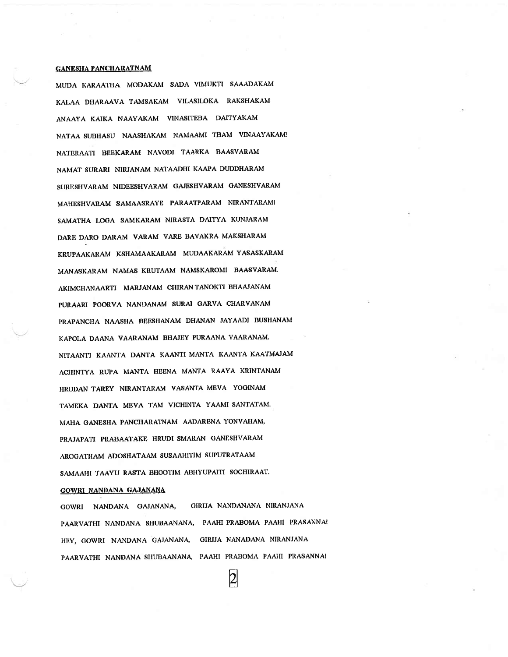#### **GANESHA PANCHARATNAM**

MUDA KARAATHA MODAKAM SADA VIMUKTI SAAADAKAM KALAA DHARAAVA TAMSAKAM VILASILOKA RAKSHAKAM ANAAYA KAIKA NAAYAKAM VINASITEBA DAITYAKAM NATAA SUBHASU NAASHAKAM NAMAAMI THAM VINAAYAKAM! NATERAATI BEEKARAM NAVODI TAARKA BAASVARAM NAMAT SURARI NIRJANAM NATAADHI KAAPA DUDDHARAM SURESHVARAM NIDEESHVARAM GAJESHVARAM GANESHVARAM MAHESHVARAM SAMAASRAYE PARAATPARAM NIRANTARAMI SAMATHA LOGA SAMKARAM NIRASTA DAITYA KUNJARAM DARE DARO DARAM VARAM VARE BAVAKRA MAKSHARAM KRUPAAKARAM KSHAMAAKARAM MUDAAKARAM YASASKARAM MANASKARAM NAMAS KRUTAAM NAMSKAROMI BAASVARAM. AKIMCHANAARTI MARJANAM CHIRANTANOKTI BHAAJANAM PURAARI POORVA NANDANAM SURAI GARVA CHARVANAM PRAPANCHA NAASHA BEESHANAM DHANAN JAYAADI BUSHANAM KAPOLA DAANA VAARANAM BHAJEY PURAANA VAARANAM. NITAANTI KAANTA DANTA KAANTI MANTA KAANTA KAATMAJAM ACHINTYA RUPA MANTA HEENA MANTA RAAYA KRINTANAM HRUDAN TAREY NIRANTARAM VASANTA MEVA YOGINAM TAMEKA DANTA MEVA TAM VICHINTA YAAMI SANTATAM. MAHA GANESHA PANCHARATNAM AADARENA YONVAHAM, PRAJAPATI PRABAATAKE HRUDI SMARAN GANESHVARAM AROGATHAM ADOSHATAAM SUSAAHITIM SUPUTRATAAM SAMAAHI TAAYU RASTA BHOOTIM ABHYUPAITI SOCHIRAAT.

#### GOWRI NANDANA GAJANANA

GIRIJA NANDANANA NIRANJANA GOWRI NANDANA GAJANANA, PAARVATHI NANDANA SHUBAANANA, PAAHI PRABOMA PAAHI PRASANNA! HEY, GOWRI NANDANA GAJANANA, GIRIJA NANADANA NIRANJANA PAARVATHI NANDANA SHUBAANANA, PAAHI PRABOMA PAAHI PRASANNA!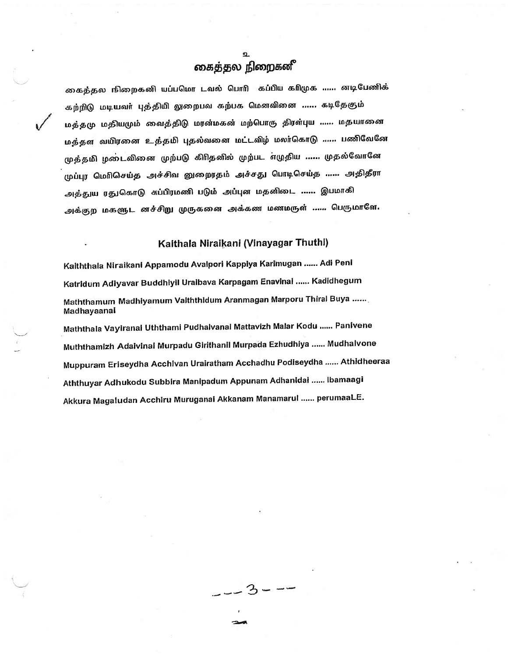# கைத்தல நிறைகளீ

கைத்தல நிறைகனி யப்பமொ டவல் பொரி கப்பிய காிமுக …… னடிபேணிக் கற்றிடு மடியவர் புத்தியி லுறைபவ கற்பக மெனவினை ...... கடிதேகும் மத்தமு மதியமும் வைத்திடு மரன்மகன் மற்பொரு திரள்புய …… மதயானை மத்தள வயிரனை உத்தமி புதல்வனை மட்டவிழ் மலர்கொடு ...... பணிவேனே முத்தமி ழடைவினை முற்படு கிரிதனில் முற்பட எழுதிய …… முதல்வோனே முப்புர மெரிசெய்த அச்சிவ னுறைரதம் அச்சது பொடிசெய்த …… அதிதீரா அத்துய ரதுகொடு சுப்பிரமணி படும் அப்புன மதனிடை …… இபமாகி அக்குற மகளுட னச்சிறு முருகனை அக்கண மணமருள் ...... பெருமாளே.

## Kaithala Niraikani (Vinayagar Thuthi)

Kaiththala Niraikani Appamodu Avalpori Kappiya Karimugan ...... Adi Peni Katridum Adiyavar Buddhiyil Uraibava Karpagam Enavinal ...... Kadidhegum Maththamum Madhiyamum Valththidum Aranmagan Marporu Thiral Buya ...... Madhayaanai

Maththala Vayiranal Uththami Pudhalvanal Mattavizh Malar Kodu ...... Panivene Muththamizh Adaivinal Murpadu Girithanil Murpada Ezhudhiya ...... Mudhalvone Muppuram Eriseydha Acchivan Urairatham Acchadhu Podiseydha ...... Athidheeraa Aththuyar Adhukodu Subbira Manipadum Appunam Adhanidai ...... Ibamaagi Akkura Magaludan Acchiru Muruganai Akkanam Manamarul ...... perumaaLE.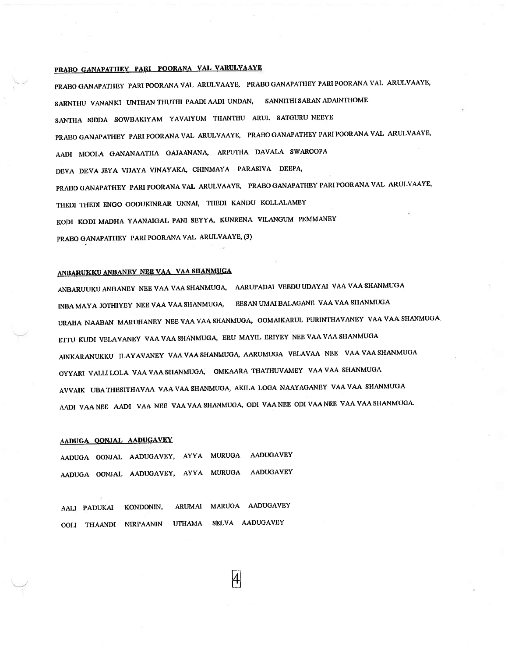# PRABO GANAPATHEY PARI POORANA VAL VARULVAAYE

PRABO GANAPATHEY PARI POORANA VAL ARULVAAYE, PRABO GANAPATHEY PARI POORANA VAL ARULVAAYE, SARNTHU VANANKI UNTHAN THUTHI PAADI AADI UNDAN, SANNITHI SARAN ADAINTHOME SANTHA SIDDA SOWBAKIYAM YAVAIYUM THANTHU ARUL SATGURU NEEYE PRABO GANAPATHEY PARI POORANA VAL ARULVAAYE, PRABO GANAPATHEY PARI POORANA VAL ARULVAAYE, AADI MOOLA GANANAATHA GAJAANANA, ARPUTHA DAVALA SWAROOPA DEVA DEVA JEYA VIJAYA VINAYAKA, CHINMAYA PARASIVA DEEPA, PRABO GANAPATHEY PARI POORANA VAL ARULVAAYE, PRABO GANAPATHEY PARI POORANA VAL ARULVAAYE, THEDI THEDI ENGO OODUKINRAR UNNAI, THEDI KANDU KOLLALAMEY KODI KODI MADHA YAANAIGAL PANI SEYYA, KUNRENA VILANGUM PEMMANEY PRABO GANAPATHEY PARI POORANA VAL ARULVAAYE, (3)

## ANBARUKKU ANBANEY NEE VAA VAA SHANMUGA

ANBARUUKU ANBANEY NEE VAA VAA SHANMUGA, AARUPADAI VEEDU UDAYAI VAA VAA SHANMUGA INBA MAYA JOTHIYEY NEE VAA VAA SHANMUGA, EESAN UMAI BALAGANE VAA VAA SHANMUGA URAHA NAABAN MARUHANEY NEE VAA VAA SHANMUGA, OOMAIKARUL PURINTHAVANEY VAA VAA SHANMUGA ETTU KUDI VELAVANEY VAA VAA SHANMUGA, ERU MAYIL ERIYEY NEE VAA VAA SHANMUGA AINKARANUKKU ILAYAVANEY VAA VAA SHANMUGA, AARUMUGA VELAVAA NEE VAA VAA SHANMUGA OYYARI VALLI LOLA VAA VAA SHANMUGA, OMKAARA THATHUVAMEY VAA VAA SHANMUGA AVVAIK UBA THESITHAVAA VAA VAA SHANMUGA, AKILA LOGA NAAYAGANEY VAA VAA SHANMUGA AADI VAA NEE AADI VAA NEE VAA VAA SHANMUGA, ODI VAA NEE ODI VAA NEE VAA VAA SHANMUGA.

#### AADUGA OONJAL AADUGAVEY

AADUGA OONJAL AADUGAVEY, AYYA MURUGA AADUGAVEY AADUGA OONJAL AADUGAVEY, AYYA MURUGA AADUGAVEY

AALI PADUKAI KONDONIN, ARUMAI MARUGA AADUGAVEY OOLI THAANDI NIRPAANIN UTHAMA SELVA AADUGAVEY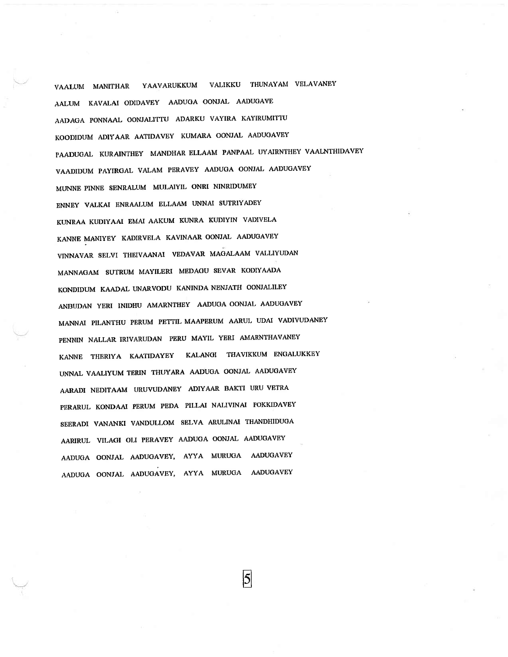VAALUM MANITHAR YAAVARUKKUM VALIKKU THUNAYAM VELAVANEY AALUM KAVALAI ODIDAVEY AADUGA OONJAL AADUGAVE AADAGA PONNAAL OONJALITTU ADARKU VAYIRA KAYIRUMITTU KOODIDUM ADIYAAR AATIDAVEY KUMARA OONJAL AADUGAVEY PAADUGAL KURAINTHEY MANDHAR ELLAAM PANPAAL UYAIRNTHEY VAALNTHIDAVEY VAADIDUM PAYIRGAL VALAM PERAVEY AADUGA OONJAL AADUGAVEY MUNNE PINNE SENRALUM MULAIYIL ONRI NINRIDUMEY ENNEY VALKAI ENRAALUM ELLAAM UNNAI SUTRIYADEY KUNRAA KUDIYAAI EMAI AAKUM KUNRA KUDIYIN VADIVELA KANNE MANIYEY KADIRVELA KAVINAAR OONJAL AADUGAVEY VINNAVAR SELVI THEIVAANAI VEDAVAR MAGALAAM VALLIYUDAN MANNAGAM SUTRUM MAYILERI MEDAGU SEVAR KODIYAADA KONDIDUM KAADAL UNARVODU KANINDA NENJATH OONJALILEY ANBUDAN YERI INIDHU AMARNTHEY AADUGA OONJAL AADUGAVEY MANNAI PILANTHU PERUM PETTIL MAAPERUM AARUL UDAI VADIVUDANEY PENNIN NALLAR IRIVARUDAN PERU MAYIL YERI AMARNTHAVANEY KANNE THERIYA KAATIDAYEY KALANGI THAVIKKUM ENGALUKKEY UNNAL VAALIYUM TERIN THUYARA AADUGA OONJAL AADUGAVEY AARADI NEDITAAM URUVUDANEY ADIYAAR BAKTI URU VETRA PERARUL KONDAAI PERUM PEDA PILLAI NALIVINAI POKKIDAVEY SEERADI VANANKI VANDULLOM SELVA ARULINAI THANDHIDUGA AARIRUL VILAGI OLI PERAVEY AADUGA OONJAL AADUGAVEY AADUGA OONJAL AADUGAVEY, AYYA MURUGA AADUGAVEY AADUGA OONJAL AADUGAVEY, AYYA MURUGA AADUGAVEY

5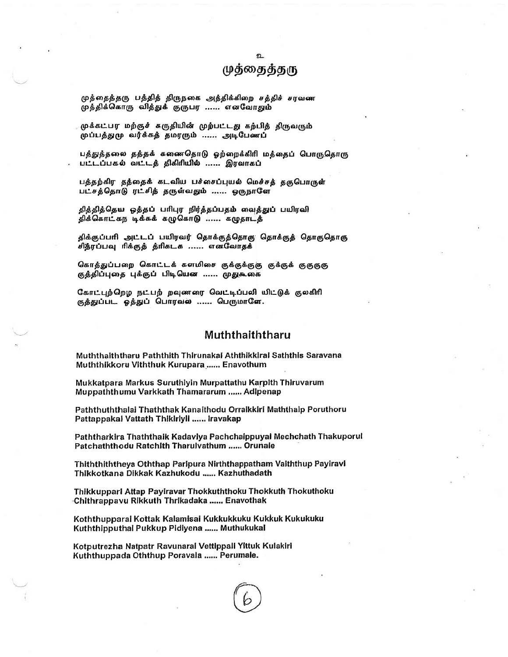# முத்தைத்தரு

முத்தைத்தரு பத்தித் திருநகை அத்திக்கிறை சத்திச் சரவண முத்திக்கொரு வித்துக் குருபர ...... எனவோதும்

முக்கட்பர மற்குச் கருதியின் முற்பட்டது கற்பித் திருவரும் முப்பத்துமு வர்க்கத் தமரரும் ...... அடிபேணப்

பத்துத்தலை தத்தக் கணைதொடு ஓற்றைக்கிரி மத்தைப் பொருதொரு பட்டப்பகல் வட்டத் திகிரியில் ...... இரவாகப்

பத்தற்கிர தத்தைக் கடவிய பச்சைப்புயல் மெச்சத் தகுபொருள் பட்சத்தொடு ரட்சித் தருள்வதும் ...... ஒருநாளே

தித்தித்தெய ஒத்தப் பரிபுர நிர்த்தப்பதம் வைத்துப் பயிரவி திக்கொட்கந டிக்கக் கழுகொடு ...... கழுதாடத்

திக்குப்பரி அட்டப் பயிரவர் தொக்குத்தொகு தொக்குத் தொகுதொகு சித்ரப்பவு ரிக்குத் த்ரிகடக ...... எனவோதக்

கொத்துப்பறை கொட்டக் களமிசை குக்குக்குகு குக்குக் குகுகுகு குத்திப்புதை புக்குப் பிடியென ...... முதுகூகை

கோட்புற்றெழ நட்பற் றவுணரை வெட்டிப்பலி யிட்டுக் குலகிரி குத்துப்பட ஓத்துப் பொரவல் ...... பெருமாளே.

# Muththaiththaru

Muththaiththaru Paththith Thirunakai Aththikkirai Saththis Saravana Muththikkoru Viththuk Kurupara ...... Enavothum

Mukkatpara Markus Suruthiyin Murpattathu Karpith Thiruvarum Muppaththumu Varkkath Thamararum ...... Adipenap

Paththuththalai Thaththak Kanaithodu Orraikkiri Maththaip Poruthoru Pattappakal Vattath Thikiriyii ...... Iravakap

Paththarkira Thaththaik Kadaviya Pachchaippuyal Mechchath Thakuporul Patchaththodu Ratchith Tharulvathum ...... Orunale

Thiththiththeya Oththap Paripura Nirththappatham Vaiththup Payiravi Thikkotkana Dikkak Kazhukodu ...... Kazhuthadath

Thikkupparl Attap Payiravar Thokkuththoku Thokkuth Thokuthoku Chithrappavu Rikkuth Thrikadaka ...... Enavothak

Koththupparai Kottak Kalamisai Kukkukkuku Kukkuk Kukukuku Kuththipputhal Pukkup Pidlyena ...... Muthukukal

Kotputrezha Natpatr Ravunaral Vettippali Yittuk Kulakiri Kuththuppada Oththup Poravala ...... Perumale.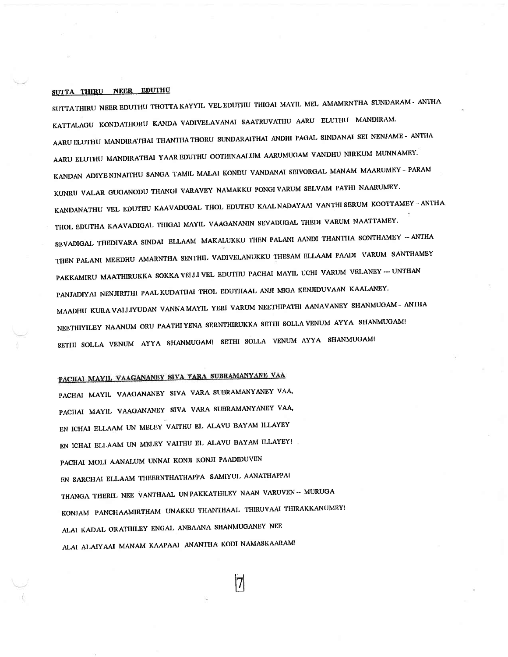# SUTTA THIRU NEER EDUTHU

SUTTA THIRU NEER EDUTHU THOTTA KAYYIL VEL EDUTHU THIGAI MAYIL MEL AMAMRNTHA SUNDARAM - ANTHA KATTALAGU KONDATHORU KANDA VADIVELAVANAI SAATRUVATHU AARU ELUTHU MANDIRAM. AARU ELUTHU MANDIRATHAI THANTHA THORU SUNDARAITHAI ANDHI PAGAL SINDANAI SEI NENJAME - ANTHA AARU ELUTHU MANDIRATHAI YAAR EDUTHU OOTHINAALUM AARUMUGAM VANDHU NIRKUM MUNNAMEY. KANDAN ADIYENINAITHU SANGA TAMIL MALAI KONDU VANDANAI SEIVORGAL MANAM MAARUMEY-PARAM KUNRU VALAR GUGANODU THANGI VARAVEY NAMAKKU PONGI VARUM SELVAM PATHI NAARUMEY. KANDANATHU VEL EDUTHU KAAVADUGAL THOL EDUTHU KAALNADAYAAI VANTHI SERUM KOOTTAMEY - ANTHA THOL EDUTHA KAAVADIGAL THIGAI MAYIL VAAGANANIN SEVADUGAL THEDI VARUM NAATTAMEY. SEVADIGAL THEDIVARA SINDAI ELLAAM MAKALUKKU THEN PALANI AANDI THANTHA SONTHAMEY -- ANTHA THEN PALANI MEEDHU AMARNTHA SENTHIL VADIVELANUKKU THESAM ELLAAM PAADI VARUM SANTHAMEY PAKKAMIRU MAATHIRUKKA SOKKA VELLI VEL EDUTHU PACHAI MAYIL UCHI VARUM VELANEY --- UNTHAN PANJADIYAI NENJIRITHI PAAL KUDATHAI THOL EDUTHAAL ANJI MIGA KENJIDUVAAN KAALANEY. MAADHU KURA VALLIYUDAN VANNA MAYIL YERI VARUM NEETHIPATHI AANAVANEY SHANMUGAM-ANTHA NEETHIYILEY NAANUM ORU PAATHIYENA SERNTHIRUKKA SETHI SOLLA VENUM AYYA SHANMUGAM! SETHI SOLLA VENUM AYYA SHANMUGAM! SETHI SOLLA VENUM AYYA SHANMUGAM!

# PACHAI MAYIL VAAGANANEY SIVA VARA SUBRAMANYANE VAA

PACHAI MAYIL VAAGANANEY SIVA VARA SUBRAMANYANEY VAA, PACHAI MAYIL VAAGANANEY SIVA VARA SUBRAMANYANEY VAA, EN ICHAI ELLAAM UN MELEY VAITHU EL ALAVU BAYAM ILLAYEY EN ICHAI ELLAAM UN MELEY VAITHU EL ALAVU BAYAM ILLAYEY! PACHAI MOLI AANALUM UNNAI KONJI KONJI PAADIDUVEN EN SARCHAI ELLAAM THEERNTHATHAPPA SAMIYUL AANATHAPPAI THANGA THERIL NEE VANTHAAL UN PAKKATHILEY NAAN VARUVEN -- MURUGA KONJAM PANCHAAMIRTHAM UNAKKU THANTHAAL THIRUVAAI THIRAKKANUMEY! ALAI KADAL ORATHILEY ENGAL ANBAANA SHANMUGANEY NEE ALAI ALAIYAAI MANAM KAAPAAI ANANTHA KODI NAMASKAARAM!

|7|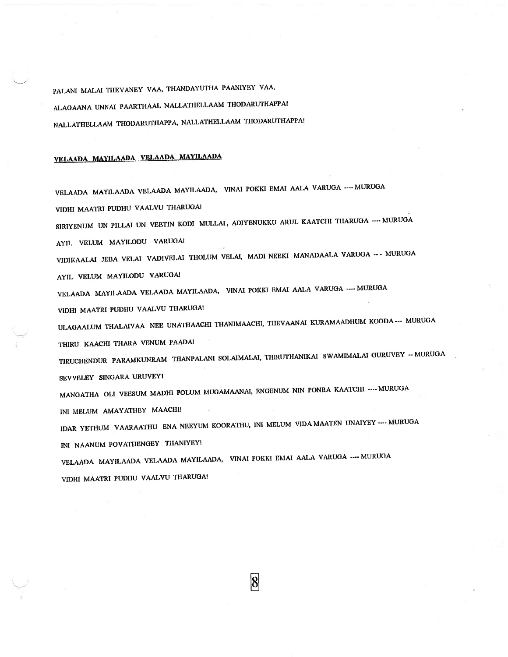PALANI MALAI THEVANEY VAA, THANDAYUTHA PAANIYEY VAA, ALAGAANA UNNAI PAARTHAAL NALLATHELLAAM THODARUTHAPPAI NALLATHELLAAM THODARUTHAPPA, NALLATHELLAAM THODARUTHAPPA!

# VELAADA MAYILAADA VELAADA MAYILAADA

VELAADA MAYILAADA VELAADA MAYILAADA, VINAI POKKI EMAI AALA VARUGA ---- MURUGA VIDHI MAATRI PUDHU VAALVU THARUGAI SIRIYENUM UN PILLAI UN VEETIN KODI MULLAI, ADIYENUKKU ARUL KAATCHI THARUGA ---- MURUGA AYIL VELUM MAYILODU VARUGA! VIDIKAALAI JEBA VELAI VADIVELAI THOLUM VELAI, MADI NEEKI MANADAALA VARUGA --- MURUGA AYIL VELUM MAYILODU VARUGA! VELAADA MAYILAADA VELAADA MAYILAADA, VINAI POKKI EMAI AALA VARUGA ---- MURUGA VIDHI MAATRI PUDHU VAALVU THARUGA! ULAGAALUM THALAIVAA NEE UNATHAACHI THANIMAACHI, THEVAANAI KURAMAADHUM KOODA--- MURUGA THIRU KAACHI THARA VENUM PAADA! TIRUCHENDUR PARAMKUNRAM THANPALANI SOLAIMALAI, THIRUTHANIKAI SWAMIMALAI GURUVEY -- MURUGA SEVVELEY SINGARA URUVEYI MANGATHA OLI VEESUM MADHI POLUM MUGAMAANAI, ENGENUM NIN PONRA KAATCHI ---- MURUGA INI MELUM AMAYATHEY MAACHI! IDAR YETHUM VAARAATHU ENA NEEYUM KOORATHU, INI MELUM VIDA MAATEN UNAIYEY ---- MURUGA INI NAANUM POVATHENGEY THANIYEY! VELAADA MAYILAADA VELAADA MAYILAADA, VINAI POKKI EMAI AALA VARUGA ---- MURUGA VIDHI MAATRI PUDHU VAALVU THARUGA!

 $\vert 8 \vert$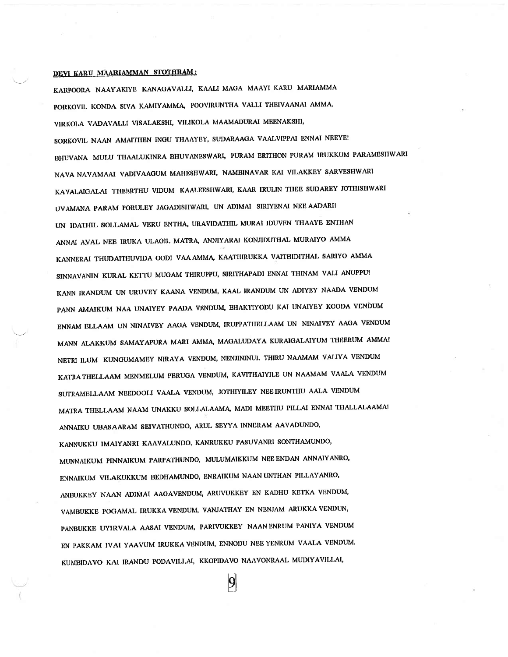#### DEVI KARU MAARIAMMAN STOTHRAM:

KARPOORA NAAYAKIYE KANAGAVALLI, KAALI MAGA MAAYI KARU MARIAMMA PORKOVIL KONDA SIVA KAMIYAMMA, POOVIRUNTHA VALLI THEIVAANAI AMMA, VIRKOLA VADAVALLI VISALAKSHI, VILIKOLA MAAMADURAI MEENAKSHI, SORKOVIL NAAN AMAITHEN INGU THAAYEY, SUDARAAGA VAALVIPPAI ENNAI NEEYE! BHUVANA MULU THAALUKINRA BHUVANESWARI, PURAM ERITHON PURAM IRUKKUM PARAMESHWARI NAVA NAVAMAAI VADIVAAGUM MAHESHWARI, NAMBINAVAR KAI VILAKKEY SARVESHWARI KAVALAIGALAI THEERTHU VIDUM KAALEESHWARI, KAAR IRULIN THEE SUDAREY JOTHISHWARI UVAMANA PARAM PORULEY JAGADISHWARI, UN ADIMAI SIRIYENAI NEE AADARI! UN IDATHIL SOLLAMAL VERU ENTHA, URAVIDATHIL MURAI IDUVEN THAAYE ENTHAN ANNAI AVAL NEE IRUKA ULAGIL MATRA, ANNIYARAI KONJIDUTHAL MURAIYO AMMA KANNERAI THUDAITHUVIDA OODI VAA AMMA, KAATHIRUKKA VAITHIDITHAL SARIYO AMMA SINNAVANIN KURAL KETTU MUGAM THIRUPPU, SIRITHAPADI ENNAI THINAM VALI ANUPPU! KANN IRANDUM UN URUVEY KAANA VENDUM, KAAL IRANDUM UN ADIYEY NAADA VENDUM PANN AMAIKUM NAA UNAIYEY PAADA VENDUM, BHAKTIYODU KAI UNAIYEY KOODA VENDUM ENNAM ELLAAM UN NINAIVEY AAGA VENDUM, IRUPPATHELLAAM UN NINAIVEY AAGA VENDUM MANN ALAKKUM SAMAYAPURA MARI AMMA, MAGALUDAYA KURAIGALAIYUM THEERUM AMMAI NETRI ILUM KUNGUMAMEY NIRAYA VENDUM, NENJININUL THIRU NAAMAM VALIYA VENDUM KATRA THELLAAM MENMELUM PERUGA VENDUM, KAVITHAIYILE UN NAAMAM VAALA VENDUM SUTRAMELLAAM NEEDOOLI VAALA VENDUM, JOTHIYILEY NEE IRUNTHU AALA VENDUM MATRA THELLAAM NAAM UNAKKU SOLLALAAMA, MADI MEETHU PILLAI ENNAI THALLALAAMAI ANNAIKU UBASAARAM SEIVATHUNDO, ARUL SEYYA INNERAM AAVADUNDO, KANNUKKU IMAIYANRI KAAVALUNDO, KANRUKKU PASUVANRI SONTHAMUNDO, MUNNAIKUM PINNAIKUM PARPATHUNDO, MULUMAIKKUM NEE ENDAN ANNAIYANRO, ENNAIKUM VILAKUKKUM BEDHAMUNDO, ENRAIKUM NAAN UNTHAN PILLAYANRO, ANBUKKEY NAAN ADIMAI AAGAVENDUM, ARUVUKKEY EN KADHU KETKA VENDUM, VAMBUKKE POGAMAL IRUKKA VENDUM, VANJATHAY EN NENJAM ARUKKA VENDUN, PANBUKKE UYIRVALA AASAI VENDUM, PARIVUKKEY NAANENRUM PANIYA VENDUM EN PAKKAM IVAI YAAVUM IRUKKA VENDUM, ENNODU NEE YENRUM VAALA VENDUM. KUMBIDAVO KAI IRANDU PODAVILLAI, KKOPIDAVO NAAVONRAAL MUDIYAVILLAI,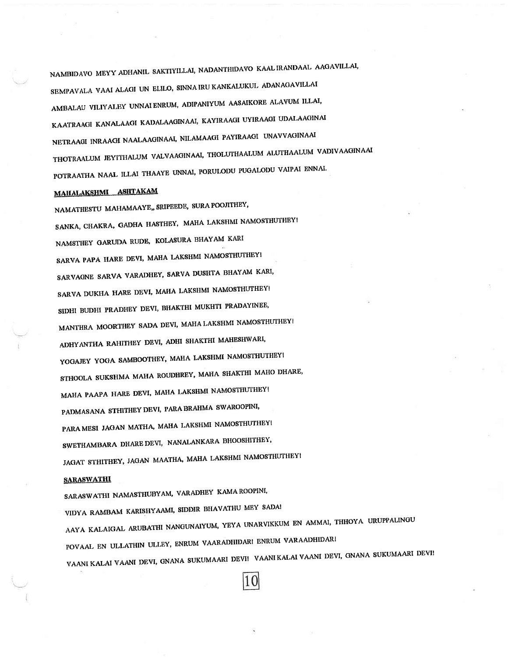NAMBIDAVO MEYY ADHANIL SAKTIYILLAI, NADANTHIDAVO KAALIRANDAAL AAGAVILLAI, SEMPAVALA VAAI ALAGI UN ELILO, SINNA IRU KANKALUKUL ADANAGAVILLAI AMBALAU VILIYALEY UNNAI ENRUM, ADIPANIYUM AASAIKORE ALAVUM ILLAI, KAATRAAGI KANALAAGI KADALAAGINAAI, KAYIRAAGI UYIRAAGI UDALAAGINAI NETRAAGI INRAAGI NAALAAGINAAI, NILAMAAGI PAYIRAAGI UNAVVAGINAAI THOTRAALUM JEYITHALUM VALVAAGINAAI, THOLUTHAALUM ALUTHAALUM VADIVAAGINAAI POTRAATHA NAAL ILLAI THAAYE UNNAI, PORULODU PUGALODU VAIPAI ENNAI.

# MAHALAKSHMI ASHTAKAM

NAMATHESTU MAHAMAAYE,, SRIPEEDE, SURA POOJITHEY, SANKA, CHAKRA, GADHA HASTHEY, MAHA LAKSHMI NAMOSTHUTHEY! NAMSTHEY GARUDA RUDE, KOLASURA BHAYAM KARI SARVA PAPA HARE DEVI, MAHA LAKSHMI NAMOSTHUTHEY! SARVAGNE SARVA VARADHEY, SARVA DUSHTA BHAYAM KARI, SARVA DUKHA HARE DEVI, MAHA LAKSHMI NAMOSTHUTHEY! SIDHI BUDHI PRADHEY DEVI, BHAKTHI MUKHTI PRADAYINEE, MANTHRA MOORTHEY SADA DEVI, MAHA LAKSHMI NAMOSTHUTHEY! ADHYANTHA RAHITHEY DEVI, ADHI SHAKTHI MAHESHWARI, YOGAJEY YOGA SAMBOOTHEY, MAHA LAKSHMI NAMOSTHUTHEY! STHOOLA SUKSHMA MAHA ROUDHREY, MAHA SHAKTHI MAHO DHARE, MAHA PAAPA HARE DEVI, MAHA LAKSHMI NAMOSTHUTHEY! PADMASANA STHITHEY DEVI, PARA BRAHMA SWAROOPINI, PARA MESI JAGAN MATHA, MAHA LAKSHMI NAMOSTHUTHEY! SWETHAMBARA DHARE DEVI, NANALANKARA BHOOSHITHEY, JAGAT STHITHEY, JAGAN MAATHA, MAHA LAKSHMI NAMOSTHUTHEY! **SARASWATHI** SARASWATHI NAMASTHUBYAM, VARADHEY KAMA ROOPINI,

VIDYA RAMBAM KARISHYAAMI, SIDDIR BHAVATHU MEY SADA! AAYA KALAIGAL ARUBATHI NANGUNAIYUM, YEYA UNARVIKKUM EN AMMAI, THHOYA URUPPALINGU POVAAL EN ULLATHIN ULLEY, ENRUM VAARADHIDARI ENRUM VARAADHIDARI VAANI KALAI VAANI DEVI, GNANA SUKUMAARI DEVI! VAANI KALAI VAANI DEVI, GNANA SUKUMAARI DEVI!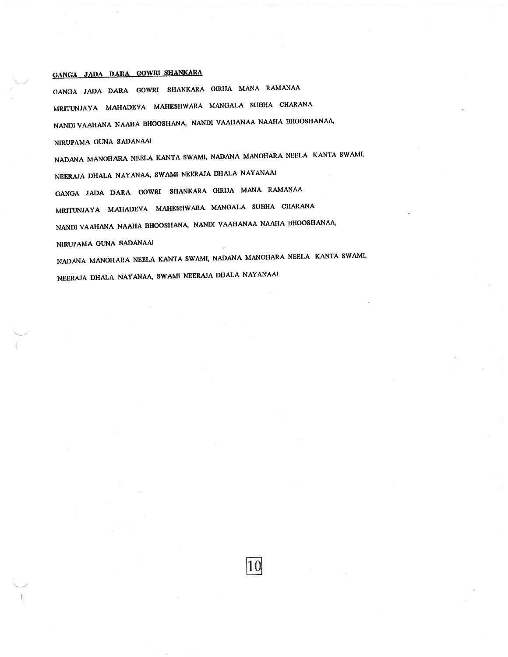# GANGA JADA DARA GOWRI SHANKARA

GANGA JADA DARA GOWRI SHANKARA GIRIJA MANA RAMANAA MRITUNJAYA MAHADEVA MAHESHWARA MANGALA SUBHA CHARANA NANDI VAAHANA NAAHA BHOOSHANA, NANDI VAAHANAA NAAHA BHOOSHANAA, NIRUPAMA GUNA SADANAA! NADANA MANOHARA NEELA KANTA SWAMI, NADANA MANOHARA NEELA KANTA SWAMI, NEERAJA DHALA NAYANAA, SWAMI NEERAJA DHALA NAYANAAI GANGA JADA DARA GOWRI SHANKARA GIRIJA MANA RAMANAA MRITUNJAYA MAHADEVA MAHESHWARA MANGALA SUBHA CHARANA NANDI VAAHANA NAAHA BHOOSHANA, NANDI VAAHANAA NAAHA BHOOSHANAA, NIRUPAMA GUNA SADANAAI NADANA MANOHARA NEELA KANTA SWAMI, NADANA MANOHARA NEELA KANTA SWAMI,

NEERAJA DHALA NAYANAA, SWAMI NEERAJA DHALA NAYANAA!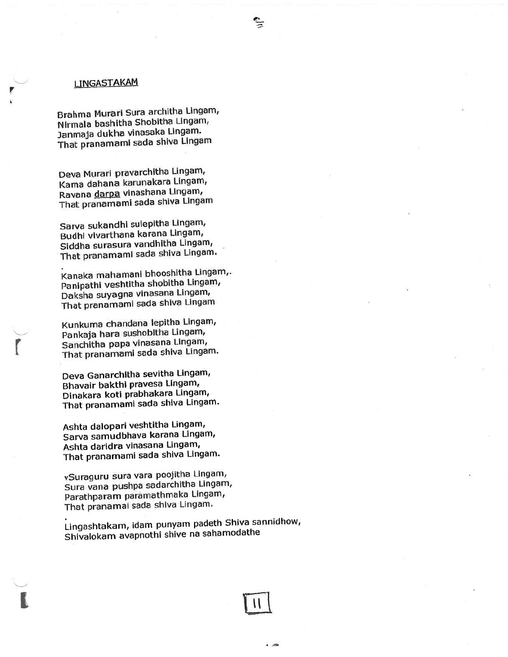# LINGASTAKAM

Brahma Murari Sura architha Lingam, Nirmala bashitha Shobitha Lingam, Janmaja dukha vinasaka Lingam. That pranamami sada shiva Lingam

Deva Murari pravarchitha Lingam, Kama dahana karunakara Lingam, Ravana darpa vinashana Lingam, That pranamami sada shiva Lingam

Sarva sukandhi sulepitha Lingam, Budhi vivarthana karana Lingam, Siddha surasura vandhitha Lingam, That pranamami sada shiva Lingam.

.<br>Kanaka mahamani bhooshitha Lingam,. Kanaka manamam bhocchan Lingam, Daksha suyagna vinasana Lingam, That pranamami sada shiva Lingam

Kunkuma chandana lepitha Lingam, Pankaja hara sushobitha Lingam, Sanchitha papa vinasana Lingam, That pranamami sada shiva Lingam.

r

t

Deva Ganarchitha sevitha Lingam' Bhavair bakthi pravesa Lingam, Dinakara koti prabhakara Lingam, That pranamami sada shiva Lingam.

Ashta dalopari veshtitha Lingam, Sarva samudbhava karana Lingam' Ashta daridra vinasana Lingam, That pranamami sada shiva Lingam.

vSuraguru sura vara poojitha Lingam, Sura vana pushpa sadarchitha Lingam, Parathparam paramathmaka Lingam, That pranamai sada shiva Lingam.

Lingashtakam, idam punyam padeth Shiva sannidhow, Shivalokam avapnothl shive na sahamodathe



 $\frac{\sigma}{2}$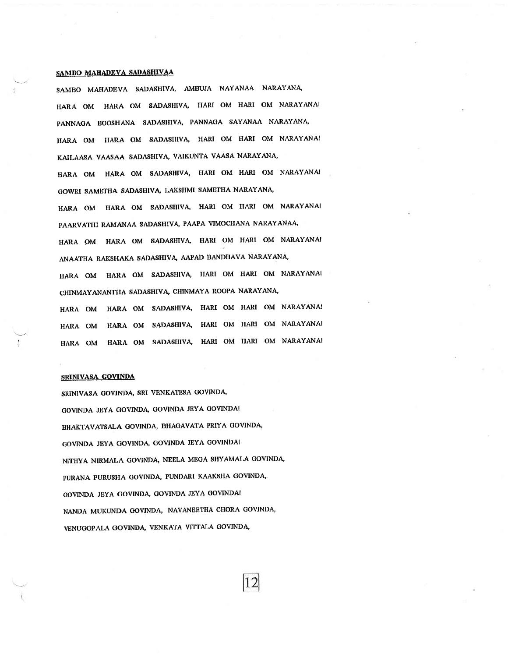#### SAMBO MAHADEVA SADASHIVAA

SAMBO MAHADEVA SADASHIVA, AMBUJA NAYANAA NARAYANA, HARA OM HARA OM SADASHIVA, HARI OM HARI OM NARAYANA! PANNAGA BOOSHANA SADASHIVA, PANNAGA SAYANAA NARAYANA, HARA OM HARA OM SADASHIVA, HARI OM HARI OM NARAYANA! KAILAASA VAASAA SADASHIVA, VAIKUNTA VAASA NARAYANA, HARA OM HARA OM SADASHIVA, HARI OM HARI OM NARAYANA! GOWRI SAMETHA SADASHIVA, LAKSHMI SAMETHA NARAYANA, HARA OM HARA OM SADASHIVA, HARI OM HARI OM NARAYANAI PAARVATHI RAMANAA SADASHIVA, PAAPA VIMOCHANA NARAYANAA, HARA OM HARA OM SADASHIVA, HARI OM HARI OM NARAYANA! ANAATHA RAKSHAKA SADASHIVA, AAPAD BANDHAVA NARAYANA, HARA OM HARA OM SADASHIVA, HARI OM HARI OM NARAYANAI CHINMAYANANTHA SADASHIVA, CHINMAYA ROOPA NARAYANA, HARA OM HARA OM SADASHIVA, HARI OM HARI OM NARAYANA! HARA OM HARA OM SADASHIVA, HARI OM HARI OM NARAYANA! HARA OM HARA OM SADASHIVA, HARI OM HARI OM NARAYANA!

#### **SRINIVASA GOVINDA**

SRINIVASA GOVINDA, SRI VENKATESA GOVINDA, GOVINDA JEYA GOVINDA, GOVINDA JEYA GOVINDA! BHAKTAVATSALA GOVINDA, BHAGAVATA PRIYA GOVINDA, GOVINDA JEYA GOVINDA, GOVINDA JEYA GOVINDA! NITHYA NIRMALA GOVINDA, NEELA MEGA SHYAMALA GOVINDA, PURANA PURUSHA GOVINDA, PUNDARI KAAKSHA GOVINDA, GOVINDA JEYA GOVINDA, GOVINDA JEYA GOVINDA! NANDA MUKUNDA GOVINDA, NAVANEETHA CHORA GOVINDA, VENUGOPALA GOVINDA, VENKATA VITTALA GOVINDA,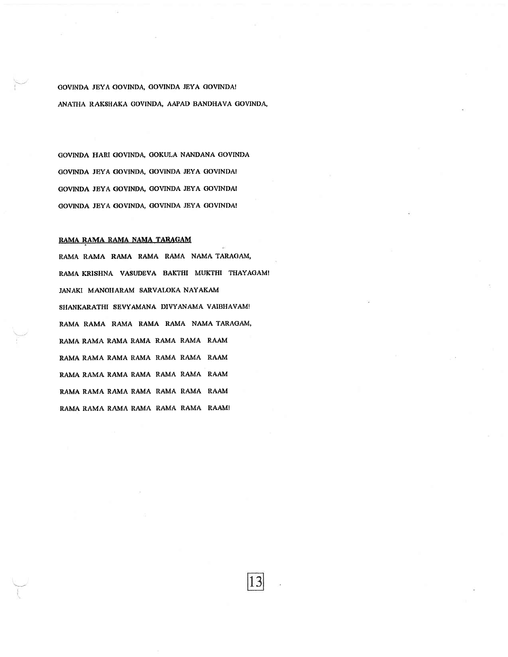GOVINDA JEYA GOVINDA, OOVINDA JEYA COVINDA! ANATHA RAKSHAKA GOVINDA, AAPAD BANDHAVA GOVINDA,

GOVINDA HARI COVINDA OOKULA NANDANA COVINDA GOVINDA JEYA GOVINDA, GOVINDA JEYA GOVINDA! GOVINDA JEYA GOVINDA, GOVINDA JEYA GOVINDA! GOVINDA JEYA GOVINDA, GOVINDA JEYA GOVINDA!

#### RAMA RAMA NAMA TARAGAM

RAMA RAMA RAMA RAMA RAMA NAMA TARAGAM, RAMA KRISHNA VASUDEVA BAKTHI MUKTHI THAYAGAM! JANAKI MANOHARAM SARVALOKA NAYAKAM SHANKARATHI SEVYAMANA DIVYANAMA VAIBHAVAM! RAMA RAMA RAMA RAMA RAMA NAMA TARAGAM, RAMA RAMA RAMA RAMA RAMA RAMA RAAM RAMA RAMA RAMA RAMA RAMA RAMA RAAM RAMA RAMA RAMA RAMA RAMA RAMA RAAM RAMA RAMA RAMA RAMA RAMA RAMA RAAM RAMA RAMA RAMA RAMA RAMA RAMA RAAMI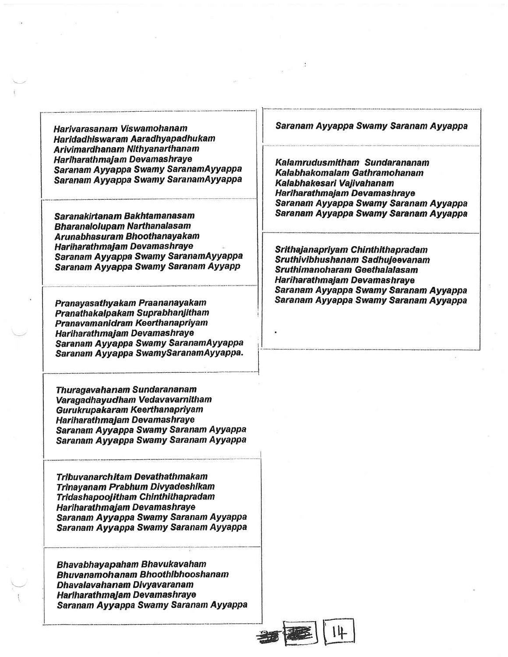Harivarasanam Viswamohanam Haridadhiswaram Aaradhyapadhukam Arivimardhanam Nithyanarthanam Hariharath majam Devamashraye Saranam Ayyappa Swamy Saranam Ayyappa Saranam Ayyappa Swamy SaranamAyyappa

Saranakirtanam Bakhtamanasam **Bharanalolupam Narthanalasam** Arunabhasuram Bhoothanayakam Hariharath majam Devamashraye Saranam Ayyappa Swamy SaranamAyyappa Saranam Ayyappa Swamy Saranam Ayyapp

Pranayasathya kam Praa na nayaka m Pranatha kaloakam Suprabhanjitham Pranavamanidram Keerthanapriyam Hariharath majam Devamashraye Saranam Ayyappa Swamy SaranamAyyappa <sup>i</sup> Saranam Ayyappa SwamySaranamAyyappa.

Thuragavahanam Sundarananam Varagadhayudham Vedavavarnitham Gurukrupakaram Keerthanapriyam Hariharath majam Devamashraye Saranam Ayyappa Swamy Saranam Ayyappa Saranam Ayyappa Swamy Saranam Ayyappa

**Tribuvanarchitam Devathathmakam** Trinayanam Prabhum Divyadeshikam Trida sha poojitham Chinthitha pradam **Hariharathmajam Devamashraye** Saranam Ayyappa Swamy Saranam Ayyappa Saranam Ayyappa Swamy Saranam Ayyappa

Bhava bhay a paham Bhavu kava ham Bhuvanamohanam Bhoothibhooshanam Dhavalavahanam Divyavaranam Hariharath majam Devamashraye Saranam Ayyappa Swamy Saranam Ayyappa Saranam Ayyappa Swamy Saranam Ayyappa

Kalamrudus mitham Sundarananam Kalabhakomalam Gathramohanam Kalabhakesari Vajivahanam Hariharathmaiam Devamashrave Saranam Ayyappa Swamy Saranam Ayyappa Saranam Ayyappa Swamy Saranam Ayyappa

Srithaja napriya m Chinthitha pradam Sruthivibhushanam Sadhujeevanam Sruthimanoharam Geethalalasam **Hariharathmaiam Devamashrave** Saranam Ayyappa Swamy Saranam Ayyappa Saranam Ayyappa Swamy Satanam Ayyappa



i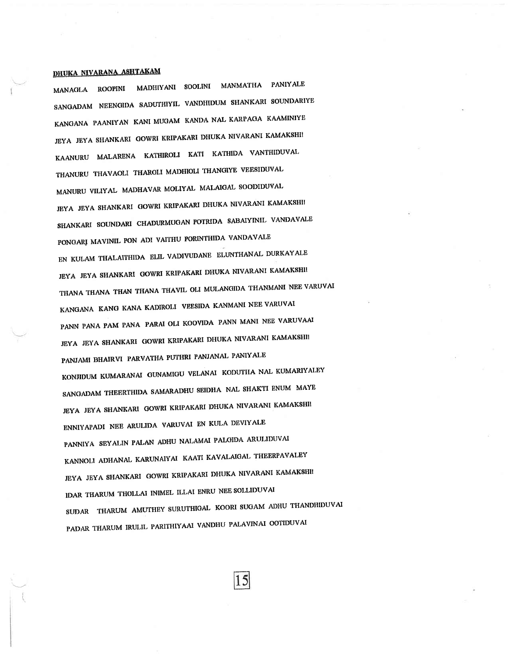# DHUKA NIVARANA ASHTAKAM

MANAGLA ROOPINI MADHIYANI SOOLINI MANMATHA PANIYALE SANGADAM NEENGIDA SADUTHIYIL VANDHIDUM SHANKARI SOUNDARIYE KANGANA PAANIYAN KANI MUGAM KANDA NAL KARPAGA KAAMINIYE JEYA JEYA SHANKARI GOWRI KRIPAKARI DHUKA NIVARANI KAMAKSHI! KAANURU MALARENA KATHIROLI KATI KATHIDA VANTHIDUVAL THANURU THAVAOLI THAROLI MADHIOLI THANGIYE VEESIDUVAL MANURU VILIYAL MADHAVAR MOLIYAL MALAIGAL SOODIDUVAL JEYA JEYA SHANKARI GOWRI KRIPAKARI DHUKA NIVARANI KAMAKSHII SHANKARI SOUNDARI CHADURMUGAN POTRIDA SABAIYINIL VANDAVALE PONGARI MAVINIL PON ADI VAITHU PORINTHIDA VANDAVALE EN KULAM THALAITHIDA ELIL VADIVUDANE ELUNTHANAL DURKAYALE JEYA JEYA SHANKARI GOWRI KRIPAKARI DHUKA NIVARANI KAMAKSHI! THANA THANA THAN THANA THAVIL OLI MULANGIDA THANMANI NEE VARUVAI KANGANA KANG KANA KADIROLI VEESIDA KANMANI NEE VARUVAI PANN PANA PAM PANA PARAI OLI KOOVIDA PANN MANI NEE VARUVAAI JEYA JEYA SHANKARI GOWRI KRIPAKARI DHUKA NIVARANI KAMAKSHII PANJAMI BHAIRVI PARVATHA PUTHRI PANJANAL PANIYALE KONJIDUM KUMARANAI GUNAMIGU VELANAI KODUTHA NAL KUMARIYALEY SANGADAM THEERTHIDA SAMARADHU SEIDHA NAL SHAKTI ENUM MAYE JEYA JEYA SHANKARI GOWRI KRIPAKARI DHUKA NIVARANI KAMAKSHII ENNIYAPADI NEE ARULIDA VARUVAI EN KULA DEVIYALE PANNIYA SEYALIN PALAN ADHU NALAMAI PALGIDA ARULIDUVAI KANNOLI ADHANAL KARUNAIYAI KAATI KAVALAIGAL THEERPAVALEY JEYA JEYA SHANKARI GOWRI KRIPAKARI DHUKA NIVARANI KAMAKSHII IDAR THARUM THOLLAI INIMEL ILLAI ENRU NEE SOLLIDUVAI SUDAR THARUM AMUTHEY SURUTHIGAL KOORI SUGAM ADHU THANDHIDUVAI PADAR THARUM IRULIL PARITHIYAAI VANDHU PALAVINAI OOTIDUVAI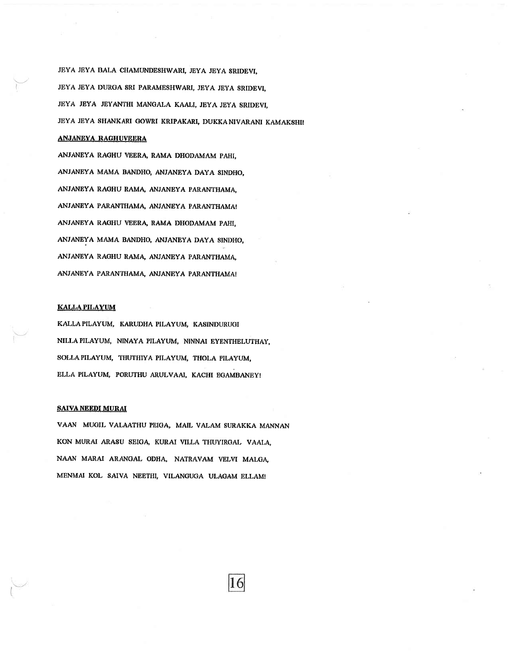JEYA JEYA BALA CHAMUNDESHWARI, JEYA JEYA SRIDEVI, JEYA JEYA DURGA SRI PARAMESHWARI, JEYA JEYA SRIDEVI, JEYA JEYA JBYANTHI MANGALA KAALI, JEYA JEYA SRIDEVI. JEYA JEYA SHANKARI GOWRI KRIPAKARI, DUKKANIVARANI KAMAKSHI!

#### ANJANEYA RAGHUVEERA

ANJANEYA RAGHU VEERA, RAMA DHODAMAM PAHI, ANJANEYA MAMA BANDHO, ANJANEYA DAYA SINDHO. ANJANEYA RAGHU RAMA, ANJANEYA PARANTHAMA, ANJANEYA PARANTHAMA, ANJANEYA PARANTHAMA! ANJANEYA RAGHU VBBRA RAMA DHODAMAM PAHI, ANJANEYA MAMA BANDHO, ANJANEYA DAYA SINDHO, ANJANEYA RAGHU RAMA, ANJANEYA PARANTHAMA, ANJANEYA PARANTHAMA, ANJANEYA PARANTHAMA!

#### KALLAPILAYUM

KALLA PILAYUM, KARUDHA PILAYUM, KASINDURUGI NILLAPILAYUM, NINAYA PILAYUM, NINNAI EYBNTHBLUTHAY, SOLLA PILAYUM, THUTHIYA PILAYUM, THOLA PILAYUM, ELLA PILAYUM, PORUTHU ARULVAAI, KACHI EGAMBANEY!

#### SAIVA NEEDI MURAI

VAAN MUGIL VALAATHU PEIGA, MAIL VALAM SURAKKA MANNAN KON MURAI ARASU SEIGA, KURAI VILLA THUYIRGAL, VAALA, NAAN MARAI ARANGAL ODHA, NATRAVAM VELVI MALGA, MENMAI KOL SAIVA NEETHI, VILANGUGA ULAGAM ELLAM!

16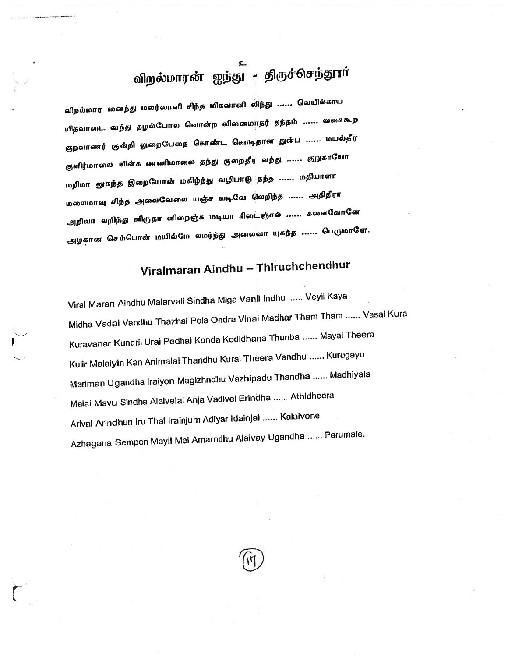# விறல்மாரன் ஐந்து - திருச்செந்தூர்

விறல்மார னைந்து மலர்வாளி சிந்த மிகவானி லிந்து ...... வெயில்காய மிதவாடை வந்து தழல்போல வொன்ற வினைமாதர் தந்தம் ...... வசைகூற குறவாணர் குன்றி லுறைபேதை கொண்ட கொடிதான துன்ப ...... மயல்தீர குளிர்மாலை யின்க ணணிமாலை தந்து குறைதீர வந்து ...... குறுகாயோ மறிமா *னு*கந்த இறையோன் மகிழ்ந்து வழிபாடு தந்த ...... மதியாளா மலைமாவு சிந்த அவைவேலை யஞ்ச வடிவே வெறிந்த ...... அதிதீரா அறிவா லறிந்து னிருதா எிறைஞ்சு மடியா ரிடைஞ்சல் ...... களைவோனே .அழகான செம்பொன் மயில்மே லமர்ந்து அலைவா யுகந்த ...... பெருமாளே.

# Viralmaran Aindhu - Thiruchchendhur

Viral Maran Aindhu Malarvali Sindha Miga Vanil Indhu ...... Veyil Kaya Midha Vadai Vandhu Thazhal Pola Ondra Vinai Madhar Tham Tham ...... Vasai Kura Kuravanar Kundril Urai Pedhai Konda Kodidhana Thunba ...... Mayal Theera Kulir Malaiyin Kan Animalai Thandhu Kurai Theera Vandhu ...... Kurugayo Mariman Ugandha Iraiyon Magizhndhu Vazhipadu Thandha ...... Madhiyala Malai Mavu Sindha Alaivelai Anja Vadivel Erindha ...... Athidheera Arival Arindhun Iru Thal Irainjum Adiyar Idainjal ...... Kalaivone Azhagana Sempon Mayil Mel Amarndhu Alaivay Ugandha ...... Perumale.



(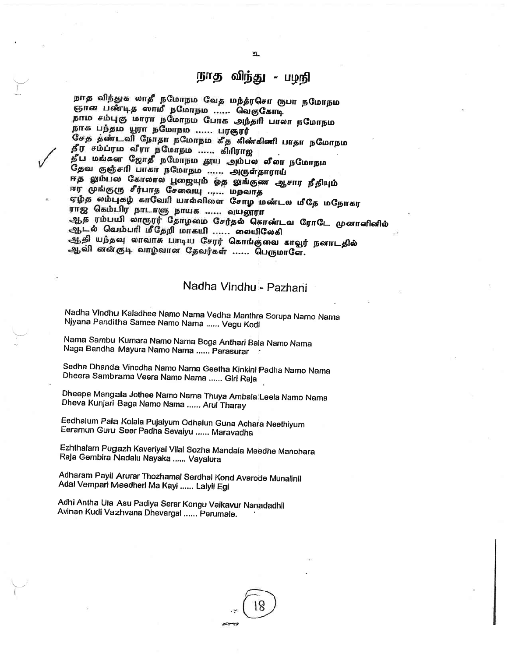# நாத விந்து - பழநி

நாத விந்துக லாதீ நமோநம வேத மந்த்ரசொ ரூபா நமோநம ஞான பண்டித ஸாமீ நமோநம ...... வெகுகோடி நாம சம்புகு மாரா நமோநம போக அந்தரி பாலா நமோநம<br>நாக பந்தம யூரா நமோநம ...... பரஞரர் சேத தண்டவி நோதா நமோநம கீத கிண்கிணி பாதா நமோநம தீர<sup>் சம்</sup>ப்ரம வீரா நமோநம ...... கிரிராஜ தீட மங்கள ஜோதீ நமோநம தூய அம்பல லீலா நமோநம .<br>தேவ குஞ்சரி பாகா நமோநம<sup>்</sup>...... அருள்தாராய் ஈத லும்பல கோலால பூஜையும் ஓத லுங்குண ஆசார நீதியும் சர முங்குரு சீர்பாத சேவையு ...... மறவாத ஏழ்த லம்புகழ் காவேரி யால்விளை சோழ**்மண்டல மீதே மநோகர**<br>ராஜ் கெம்பிர நாடாளு நாயக ...... வயலூரா ஆத ரம்பயி லாரூரர் தோழமை சேர்தல் கொண்டவ ரோடே முனாளினில் ஆடல் வெம்பரி மீதேறி மாகயி ...... லையிலேகி ஆதி யந்தவு லாவாசு பாடிய சேரர் கொங்குவை காவூர் நனாடதில் ஆவி னன்குடி வாழ்வான தேவர்கள் ...... பெருமாளே.

# Nadha Vindhu,- pazhani

Nadha Vindhu Kaladhee Namo Nama Vedha Manthra Sorupa Namo Nama<br>Njyana Panditha Samee Namo Nama ,..... Vegu Kodi

Nama Sambu Kumara Namo Nama Boga Anthari Baia Namo Nama<br>Naga Bandha Mayura Namo Nama ...... Parasurar

Sedha Dhanda Vinodha Namo Nama Geetha Kinkini Padha Namo Nama<br>Dheera Sambrama Veera Namo Nama ...... Giri Raja

Dheepa-Mangala Jothee Namo Nama Thuya Ambala:Leela Namo Nama<br>Dheva Kunjari Baga Namo Nama ...... Arul Tharay

Eedhalum Pala Kolala Pujaiyum Odhalun Guna Achara Neethiyum<br>Eeramun Guru Seer Padha Sevaiyu ,..... Maravadha

Ezhthalam Pugazh Kaveriyal Vilai Sozha Mandala Meedhe Manohara RaJa Gembira Nadalu Nayaka...... Vayalura

Adharam Payil Arurar Thozhamai Serdhal Kond Avarode Munalinil<br>Adal Vempari Meedherl Ma Kayi ...... Lalyll Egl

Adhi Antha Ula Asu Padiya Serar Kongu Vaikavur Nanadadhil Avinan Kudi Vazhvana Dhevargal ...... Perumale.

I



உ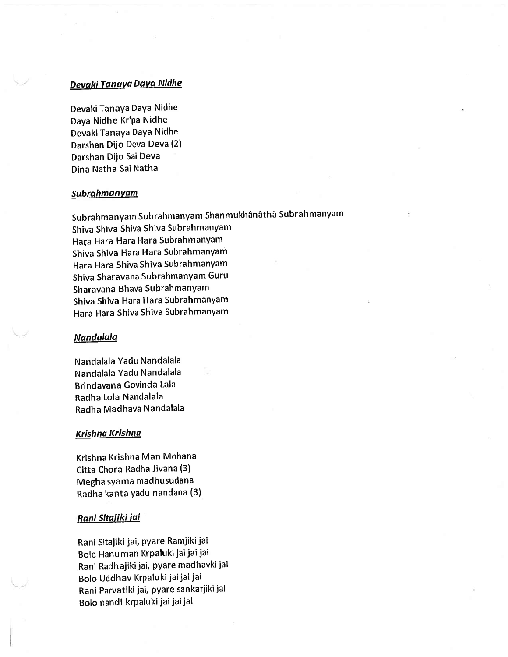# Devaki Tanaya Daya Nidhe

Devaki TanaYa DaYa Nidhe Daya Nidhe Kr'pa Nidhe Devaki Tanaya Daya Nidhe Darshan Dijo Deva Deva (2) Darshan Dijo Sai Deva Dina Natha Sai Natha

#### Subrahmanyam

Subrahmanyam Subrahmanyam Shanmukhânâthâ Subrahmanyam Shiva Shiva Shiva Shiva Subrahmanyam Hata Hara Hara Hara SubrahmanYam Shiva Shiva Hara Hara Subrahmanyam Hara Hara Shiva Shiva Subrahmanyam Shiva Sharavana Subrahmanyam Guru Sharavana Bhava SubrahmanYam Shiva Shiva Hara Hara Subrahmanyam Hara Hara Shiva Shiva Subrahmanyam

### Nandalala

Nandalala Yadu Nandalala Nandalala Yadu Nandalala Brindavana Govinda Lala Radha Lola Nandalala Radha Madhava Nandalala

## Krishna Krishnd

Krishna Krishna Man Mohana Citta Chora Radha Jivana (3) Megha syama madhusudana Radha kanta Yadu nandana (3)

#### Rani <u>Sitajiki jai</u>

Rani Sitajiki jai, pyare Ramjiki jai Bole Hanuman Krpaluki jai jai jai Rani Radhajiki jai, pyare madhavki jai Bolo Uddhav Krpaluki jai jai jai Rani Parvatiki jai, pyare sankarjiki jai Bolo nandi krpaluki jai jai jai